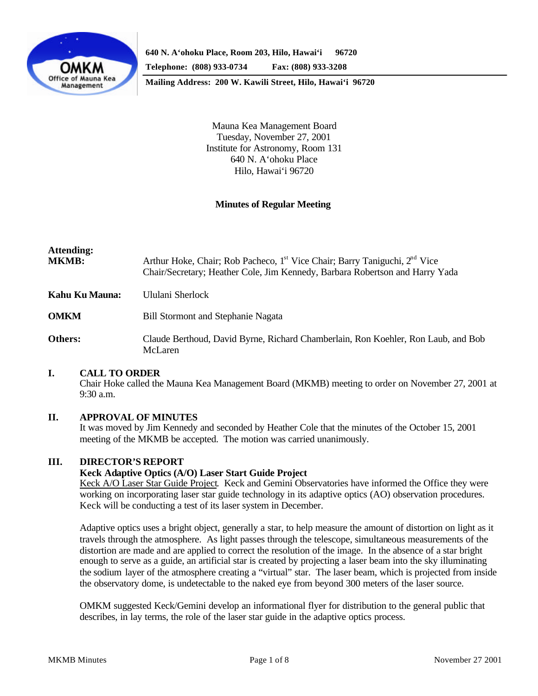

**Mailing Address: 200 W. Kawili Street, Hilo, Hawai'i 96720**

Mauna Kea Management Board Tuesday, November 27, 2001 Institute for Astronomy, Room 131 640 N. A'ohoku Place Hilo, Hawai'i 96720

# **Minutes of Regular Meeting**

| <b>Attending:</b><br><b>MKMB:</b> | Arthur Hoke, Chair; Rob Pacheco, 1 <sup>st</sup> Vice Chair; Barry Taniguchi, 2 <sup>nd</sup> Vice<br>Chair/Secretary; Heather Cole, Jim Kennedy, Barbara Robertson and Harry Yada |
|-----------------------------------|------------------------------------------------------------------------------------------------------------------------------------------------------------------------------------|
| Kahu Ku Mauna:                    | Ululani Sherlock                                                                                                                                                                   |
| <b>OMKM</b>                       | <b>Bill Stormont and Stephanie Nagata</b>                                                                                                                                          |
| Others:                           | Claude Berthoud, David Byrne, Richard Chamberlain, Ron Koehler, Ron Laub, and Bob                                                                                                  |

### **I. CALL TO ORDER**

Chair Hoke called the Mauna Kea Management Board (MKMB) meeting to order on November 27, 2001 at 9:30 a.m.

### **II. APPROVAL OF MINUTES**

McLaren

It was moved by Jim Kennedy and seconded by Heather Cole that the minutes of the October 15, 2001 meeting of the MKMB be accepted. The motion was carried unanimously.

### **III. DIRECTOR'S REPORT**

### **Keck Adaptive Optics (A/O) Laser Start Guide Project**

Keck A/O Laser Star Guide Project. Keck and Gemini Observatories have informed the Office they were working on incorporating laser star guide technology in its adaptive optics (AO) observation procedures. Keck will be conducting a test of its laser system in December.

Adaptive optics uses a bright object, generally a star, to help measure the amount of distortion on light as it travels through the atmosphere. As light passes through the telescope, simultaneous measurements of the distortion are made and are applied to correct the resolution of the image. In the absence of a star bright enough to serve as a guide, an artificial star is created by projecting a laser beam into the sky illuminating the sodium layer of the atmosphere creating a "virtual" star. The laser beam, which is projected from inside the observatory dome, is undetectable to the naked eye from beyond 300 meters of the laser source.

OMKM suggested Keck/Gemini develop an informational flyer for distribution to the general public that describes, in lay terms, the role of the laser star guide in the adaptive optics process.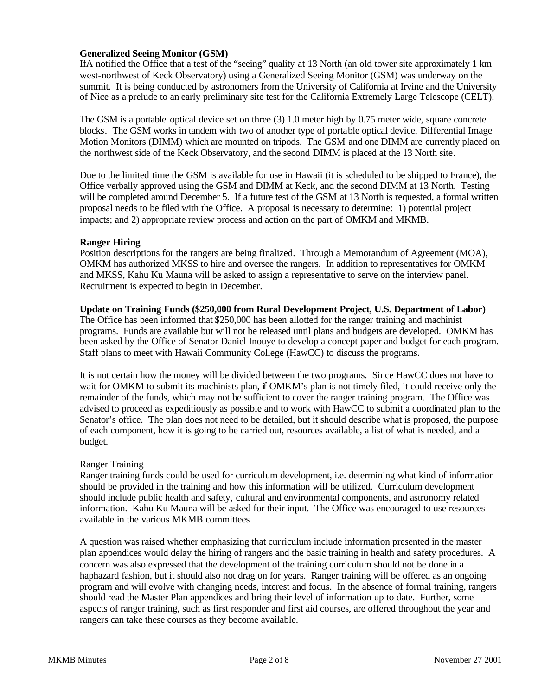# **Generalized Seeing Monitor (GSM)**

IfA notified the Office that a test of the "seeing" quality at 13 North (an old tower site approximately 1 km west-northwest of Keck Observatory) using a Generalized Seeing Monitor (GSM) was underway on the summit. It is being conducted by astronomers from the University of California at Irvine and the University of Nice as a prelude to an early preliminary site test for the California Extremely Large Telescope (CELT).

The GSM is a portable optical device set on three (3) 1.0 meter high by 0.75 meter wide, square concrete blocks. The GSM works in tandem with two of another type of portable optical device, Differential Image Motion Monitors (DIMM) which are mounted on tripods. The GSM and one DIMM are currently placed on the northwest side of the Keck Observatory, and the second DIMM is placed at the 13 North site.

Due to the limited time the GSM is available for use in Hawaii (it is scheduled to be shipped to France), the Office verbally approved using the GSM and DIMM at Keck, and the second DIMM at 13 North. Testing will be completed around December 5. If a future test of the GSM at 13 North is requested, a formal written proposal needs to be filed with the Office. A proposal is necessary to determine: 1) potential project impacts; and 2) appropriate review process and action on the part of OMKM and MKMB.

# **Ranger Hiring**

Position descriptions for the rangers are being finalized. Through a Memorandum of Agreement (MOA), OMKM has authorized MKSS to hire and oversee the rangers. In addition to representatives for OMKM and MKSS, Kahu Ku Mauna will be asked to assign a representative to serve on the interview panel. Recruitment is expected to begin in December.

# **Update on Training Funds (\$250,000 from Rural Development Project, U.S. Department of Labor)**

The Office has been informed that \$250,000 has been allotted for the ranger training and machinist programs. Funds are available but will not be released until plans and budgets are developed. OMKM has been asked by the Office of Senator Daniel Inouye to develop a concept paper and budget for each program. Staff plans to meet with Hawaii Community College (HawCC) to discuss the programs.

It is not certain how the money will be divided between the two programs. Since HawCC does not have to wait for OMKM to submit its machinists plan, if OMKM's plan is not timely filed, it could receive only the remainder of the funds, which may not be sufficient to cover the ranger training program. The Office was advised to proceed as expeditiously as possible and to work with HawCC to submit a coordinated plan to the Senator's office. The plan does not need to be detailed, but it should describe what is proposed, the purpose of each component, how it is going to be carried out, resources available, a list of what is needed, and a budget.

# Ranger Training

Ranger training funds could be used for curriculum development, i.e. determining what kind of information should be provided in the training and how this information will be utilized. Curriculum development should include public health and safety, cultural and environmental components, and astronomy related information. Kahu Ku Mauna will be asked for their input. The Office was encouraged to use resources available in the various MKMB committees

A question was raised whether emphasizing that curriculum include information presented in the master plan appendices would delay the hiring of rangers and the basic training in health and safety procedures. A concern was also expressed that the development of the training curriculum should not be done in a haphazard fashion, but it should also not drag on for years. Ranger training will be offered as an ongoing program and will evolve with changing needs, interest and focus. In the absence of formal training, rangers should read the Master Plan appendices and bring their level of information up to date. Further, some aspects of ranger training, such as first responder and first aid courses, are offered throughout the year and rangers can take these courses as they become available.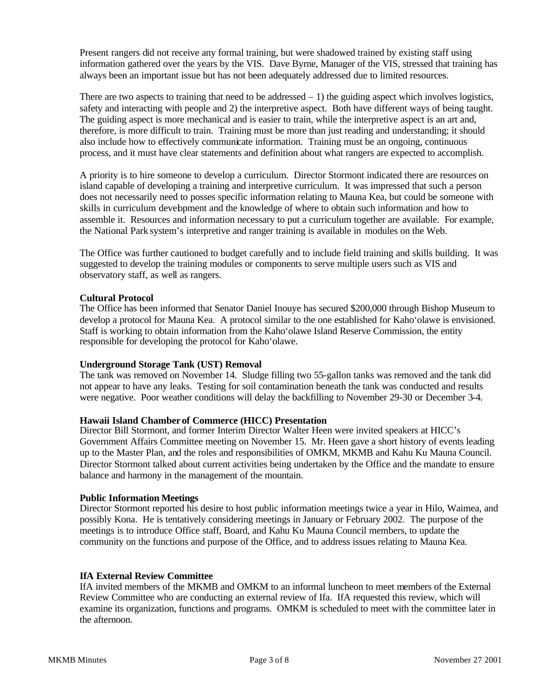Present rangers did not receive any formal training, but were shadowed trained by existing staff using information gathered over the years by the VIS. Dave Byrne, Manager of the VIS, stressed that training has always been an important issue but has not been adequately addressed due to limited resources.

There are two aspects to training that need to be addressed  $-1$ ) the guiding aspect which involves logistics, safety and interacting with people and 2) the interpretive aspect. Both have different ways of being taught. The guiding aspect is more mechanical and is easier to train, while the interpretive aspect is an art and, therefore, is more difficult to train. Training must be more than just reading and understanding; it should also include how to effectively communicate information. Training must be an ongoing, continuous process, and it must have clear statements and definition about what rangers are expected to accomplish.

A priority is to hire someone to develop a curriculum. Director Stormont indicated there are resources on island capable of developing a training and interpretive curriculum. It was impressed that such a person does not necessarily need to posses specific information relating to Mauna Kea, but could be someone with skills in curriculum development and the knowledge of where to obtain such information and how to assemble it. Resources and information necessary to put a curriculum together are available. For example, the National Park system's interpretive and ranger training is available in modules on the Web.

The Office was further cautioned to budget carefully and to include field training and skills building. It was suggested to develop the training modules or components to serve multiple users such as VIS and observatory staff, as well as rangers.

# **Cultural Protocol**

The Office has been informed that Senator Daniel Inouye has secured \$200,000 through Bishop Museum to develop a protocol for Mauna Kea. A protocol similar to the one established for Kaho'olawe is envisioned. Staff is working to obtain information from the Kaho'olawe Island Reserve Commission, the entity responsible for developing the protocol for Kaho'olawe.

# **Underground Storage Tank (UST) Removal**

The tank was removed on November 14. Sludge filling two 55-gallon tanks was removed and the tank did not appear to have any leaks. Testing for soil contamination beneath the tank was conducted and results were negative. Poor weather conditions will delay the backfilling to November 29-30 or December 3-4.

# **Hawaii Island Chamber of Commerce (HICC) Presentation**

Director Bill Stormont, and former Interim Director Walter Heen were invited speakers at HICC's Government Affairs Committee meeting on November 15. Mr. Heen gave a short history of events leading up to the Master Plan, and the roles and responsibilities of OMKM, MKMB and Kahu Ku Mauna Council. Director Stormont talked about current activities being undertaken by the Office and the mandate to ensure balance and harmony in the management of the mountain.

# **Public Information Meetings**

Director Stormont reported his desire to host public information meetings twice a year in Hilo, Waimea, and possibly Kona. He is tentatively considering meetings in January or February 2002. The purpose of the meetings is to introduce Office staff, Board, and Kahu Ku Mauna Council members, to update the community on the functions and purpose of the Office, and to address issues relating to Mauna Kea.

# **IfA External Review Committee**

IfA invited members of the MKMB and OMKM to an informal luncheon to meet members of the External Review Committee who are conducting an external review of Ifa. IfA requested this review, which will examine its organization, functions and programs. OMKM is scheduled to meet with the committee later in the afternoon.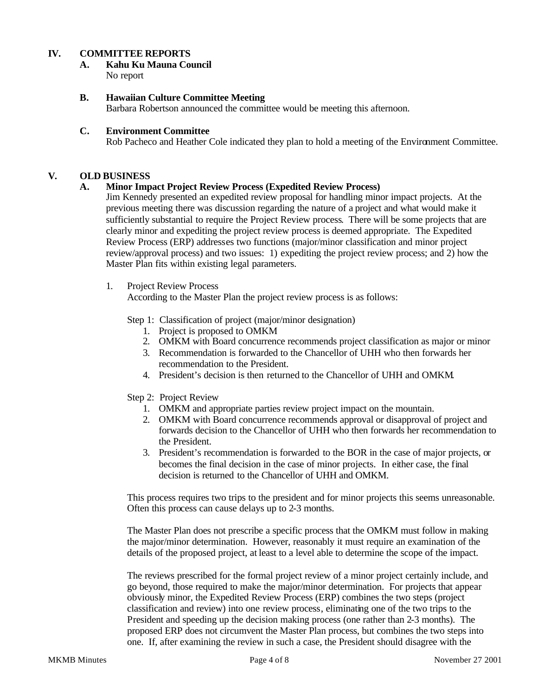# **IV. COMMITTEE REPORTS**

#### **A. Kahu Ku Mauna Council** No report

# **B. Hawaiian Culture Committee Meeting**

Barbara Robertson announced the committee would be meeting this afternoon.

## **C. Environment Committee**

Rob Pacheco and Heather Cole indicated they plan to hold a meeting of the Environment Committee.

# **V. OLD BUSINESS**

## **A. Minor Impact Project Review Process (Expedited Review Process)**

Jim Kennedy presented an expedited review proposal for handling minor impact projects. At the previous meeting there was discussion regarding the nature of a project and what would make it sufficiently substantial to require the Project Review process. There will be some projects that are clearly minor and expediting the project review process is deemed appropriate. The Expedited Review Process (ERP) addresses two functions (major/minor classification and minor project review/approval process) and two issues: 1) expediting the project review process; and 2) how the Master Plan fits within existing legal parameters.

1. Project Review Process

According to the Master Plan the project review process is as follows:

Step 1: Classification of project (major/minor designation)

- 1. Project is proposed to OMKM
- 2. OMKM with Board concurrence recommends project classification as major or minor
- 3. Recommendation is forwarded to the Chancellor of UHH who then forwards her recommendation to the President.
- 4. President's decision is then returned to the Chancellor of UHH and OMKM.

Step 2: Project Review

- 1. OMKM and appropriate parties review project impact on the mountain.
- 2. OMKM with Board concurrence recommends approval or disapproval of project and forwards decision to the Chancellor of UHH who then forwards her recommendation to the President.
- 3. President's recommendation is forwarded to the BOR in the case of major projects, or becomes the final decision in the case of minor projects. In either case, the final decision is returned to the Chancellor of UHH and OMKM.

This process requires two trips to the president and for minor projects this seems unreasonable. Often this process can cause delays up to 2-3 months.

The Master Plan does not prescribe a specific process that the OMKM must follow in making the major/minor determination. However, reasonably it must require an examination of the details of the proposed project, at least to a level able to determine the scope of the impact.

The reviews prescribed for the formal project review of a minor project certainly include, and go beyond, those required to make the major/minor determination. For projects that appear obviously minor, the Expedited Review Process (ERP) combines the two steps (project classification and review) into one review process, eliminating one of the two trips to the President and speeding up the decision making process (one rather than 2-3 months). The proposed ERP does not circumvent the Master Plan process, but combines the two steps into one. If, after examining the review in such a case, the President should disagree with the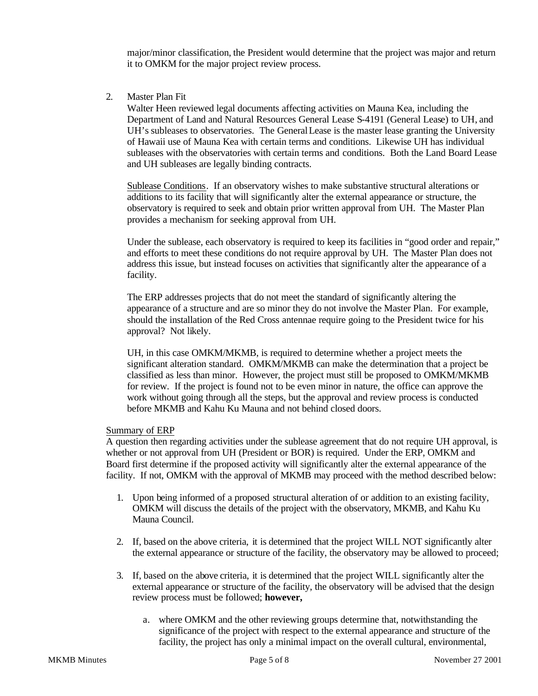major/minor classification, the President would determine that the project was major and return it to OMKM for the major project review process.

2. Master Plan Fit

Walter Heen reviewed legal documents affecting activities on Mauna Kea, including the Department of Land and Natural Resources General Lease S-4191 (General Lease) to UH, and UH's subleases to observatories. The General Lease is the master lease granting the University of Hawaii use of Mauna Kea with certain terms and conditions. Likewise UH has individual subleases with the observatories with certain terms and conditions. Both the Land Board Lease and UH subleases are legally binding contracts.

Sublease Conditions. If an observatory wishes to make substantive structural alterations or additions to its facility that will significantly alter the external appearance or structure, the observatory is required to seek and obtain prior written approval from UH. The Master Plan provides a mechanism for seeking approval from UH.

Under the sublease, each observatory is required to keep its facilities in "good order and repair," and efforts to meet these conditions do not require approval by UH. The Master Plan does not address this issue, but instead focuses on activities that significantly alter the appearance of a facility.

The ERP addresses projects that do not meet the standard of significantly altering the appearance of a structure and are so minor they do not involve the Master Plan. For example, should the installation of the Red Cross antennae require going to the President twice for his approval? Not likely.

UH, in this case OMKM/MKMB, is required to determine whether a project meets the significant alteration standard. OMKM/MKMB can make the determination that a project be classified as less than minor. However, the project must still be proposed to OMKM/MKMB for review. If the project is found not to be even minor in nature, the office can approve the work without going through all the steps, but the approval and review process is conducted before MKMB and Kahu Ku Mauna and not behind closed doors.

## Summary of ERP

A question then regarding activities under the sublease agreement that do not require UH approval, is whether or not approval from UH (President or BOR) is required. Under the ERP, OMKM and Board first determine if the proposed activity will significantly alter the external appearance of the facility. If not, OMKM with the approval of MKMB may proceed with the method described below:

- 1. Upon being informed of a proposed structural alteration of or addition to an existing facility, OMKM will discuss the details of the project with the observatory, MKMB, and Kahu Ku Mauna Council.
- 2. If, based on the above criteria, it is determined that the project WILL NOT significantly alter the external appearance or structure of the facility, the observatory may be allowed to proceed;
- 3. If, based on the above criteria, it is determined that the project WILL significantly alter the external appearance or structure of the facility, the observatory will be advised that the design review process must be followed; **however,**
	- a. where OMKM and the other reviewing groups determine that, notwithstanding the significance of the project with respect to the external appearance and structure of the facility, the project has only a minimal impact on the overall cultural, environmental,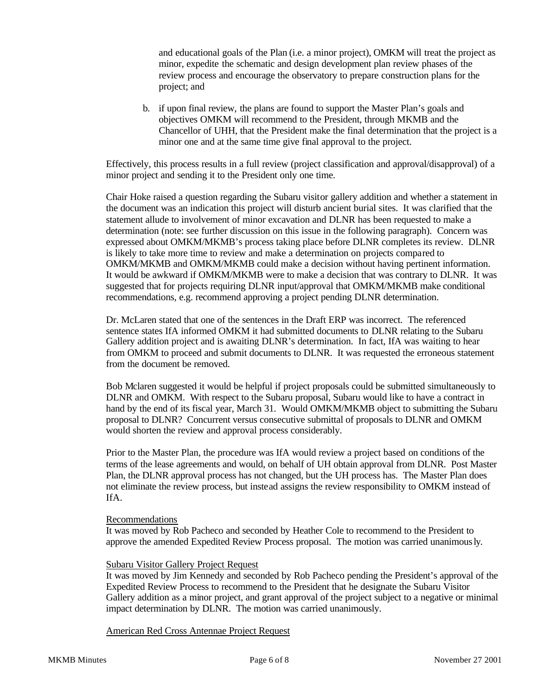and educational goals of the Plan (i.e. a minor project), OMKM will treat the project as minor, expedite the schematic and design development plan review phases of the review process and encourage the observatory to prepare construction plans for the project; and

b. if upon final review, the plans are found to support the Master Plan's goals and objectives OMKM will recommend to the President, through MKMB and the Chancellor of UHH, that the President make the final determination that the project is a minor one and at the same time give final approval to the project.

Effectively, this process results in a full review (project classification and approval/disapproval) of a minor project and sending it to the President only one time.

Chair Hoke raised a question regarding the Subaru visitor gallery addition and whether a statement in the document was an indication this project will disturb ancient burial sites. It was clarified that the statement allude to involvement of minor excavation and DLNR has been requested to make a determination (note: see further discussion on this issue in the following paragraph). Concern was expressed about OMKM/MKMB's process taking place before DLNR completes its review. DLNR is likely to take more time to review and make a determination on projects compared to OMKM/MKMB and OMKM/MKMB could make a decision without having pertinent information. It would be awkward if OMKM/MKMB were to make a decision that was contrary to DLNR. It was suggested that for projects requiring DLNR input/approval that OMKM/MKMB make conditional recommendations, e.g. recommend approving a project pending DLNR determination.

Dr. McLaren stated that one of the sentences in the Draft ERP was incorrect. The referenced sentence states IfA informed OMKM it had submitted documents to DLNR relating to the Subaru Gallery addition project and is awaiting DLNR's determination. In fact, IfA was waiting to hear from OMKM to proceed and submit documents to DLNR. It was requested the erroneous statement from the document be removed.

Bob Mclaren suggested it would be helpful if project proposals could be submitted simultaneously to DLNR and OMKM. With respect to the Subaru proposal, Subaru would like to have a contract in hand by the end of its fiscal year, March 31. Would OMKM/MKMB object to submitting the Subaru proposal to DLNR? Concurrent versus consecutive submittal of proposals to DLNR and OMKM would shorten the review and approval process considerably.

Prior to the Master Plan, the procedure was IfA would review a project based on conditions of the terms of the lease agreements and would, on behalf of UH obtain approval from DLNR. Post Master Plan, the DLNR approval process has not changed, but the UH process has. The Master Plan does not eliminate the review process, but instead assigns the review responsibility to OMKM instead of IfA.

### Recommendations

It was moved by Rob Pacheco and seconded by Heather Cole to recommend to the President to approve the amended Expedited Review Process proposal. The motion was carried unanimously.

### Subaru Visitor Gallery Project Request

It was moved by Jim Kennedy and seconded by Rob Pacheco pending the President's approval of the Expedited Review Process to recommend to the President that he designate the Subaru Visitor Gallery addition as a minor project, and grant approval of the project subject to a negative or minimal impact determination by DLNR. The motion was carried unanimously.

American Red Cross Antennae Project Request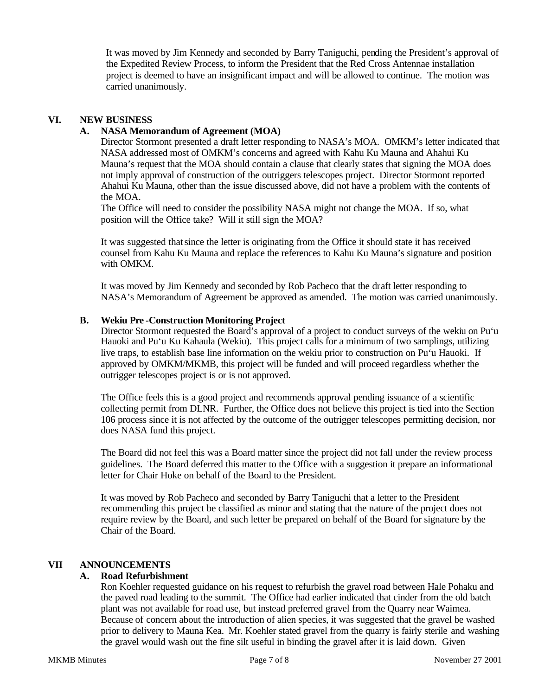It was moved by Jim Kennedy and seconded by Barry Taniguchi, pending the President's approval of the Expedited Review Process, to inform the President that the Red Cross Antennae installation project is deemed to have an insignificant impact and will be allowed to continue. The motion was carried unanimously.

## **VI. NEW BUSINESS**

## **A. NASA Memorandum of Agreement (MOA)**

Director Stormont presented a draft letter responding to NASA's MOA. OMKM's letter indicated that NASA addressed most of OMKM's concerns and agreed with Kahu Ku Mauna and Ahahui Ku Mauna's request that the MOA should contain a clause that clearly states that signing the MOA does not imply approval of construction of the outriggers telescopes project. Director Stormont reported Ahahui Ku Mauna, other than the issue discussed above, did not have a problem with the contents of the MOA.

The Office will need to consider the possibility NASA might not change the MOA. If so, what position will the Office take? Will it still sign the MOA?

It was suggested that since the letter is originating from the Office it should state it has received counsel from Kahu Ku Mauna and replace the references to Kahu Ku Mauna's signature and position with OMKM.

It was moved by Jim Kennedy and seconded by Rob Pacheco that the draft letter responding to NASA's Memorandum of Agreement be approved as amended. The motion was carried unanimously.

### **B. Wekiu Pre -Construction Monitoring Project**

Director Stormont requested the Board's approval of a project to conduct surveys of the wekiu on Pu'u Hauoki and Pu'u Ku Kahaula (Wekiu). This project calls for a minimum of two samplings, utilizing live traps, to establish base line information on the wekiu prior to construction on Pu'u Hauoki. If approved by OMKM/MKMB, this project will be funded and will proceed regardless whether the outrigger telescopes project is or is not approved.

The Office feels this is a good project and recommends approval pending issuance of a scientific collecting permit from DLNR. Further, the Office does not believe this project is tied into the Section 106 process since it is not affected by the outcome of the outrigger telescopes permitting decision, nor does NASA fund this project.

The Board did not feel this was a Board matter since the project did not fall under the review process guidelines. The Board deferred this matter to the Office with a suggestion it prepare an informational letter for Chair Hoke on behalf of the Board to the President.

It was moved by Rob Pacheco and seconded by Barry Taniguchi that a letter to the President recommending this project be classified as minor and stating that the nature of the project does not require review by the Board, and such letter be prepared on behalf of the Board for signature by the Chair of the Board.

# **VII ANNOUNCEMENTS**

## **A. Road Refurbishment**

Ron Koehler requested guidance on his request to refurbish the gravel road between Hale Pohaku and the paved road leading to the summit. The Office had earlier indicated that cinder from the old batch plant was not available for road use, but instead preferred gravel from the Quarry near Waimea. Because of concern about the introduction of alien species, it was suggested that the gravel be washed prior to delivery to Mauna Kea. Mr. Koehler stated gravel from the quarry is fairly sterile and washing the gravel would wash out the fine silt useful in binding the gravel after it is laid down. Given